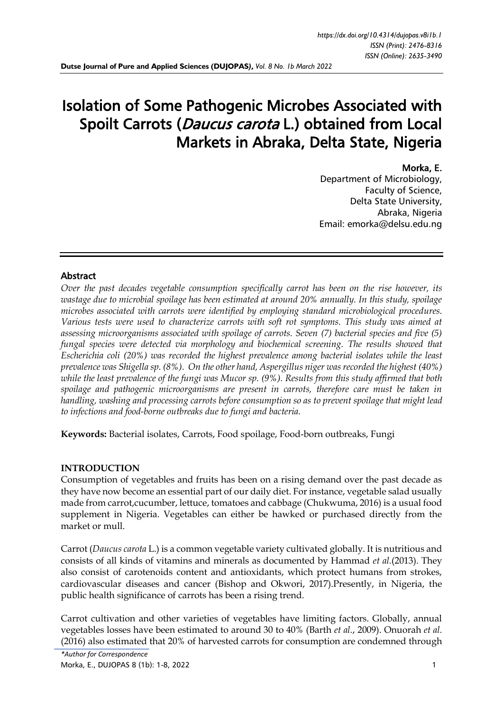# Isolation of Some Pathogenic Microbes Associated with Spoilt Carrots (*Daucus carota* L.) obtained from Local Markets in Abraka, Delta State, Nigeria

## Morka, E.

Department of Microbiology, Faculty of Science, Delta State University, Abraka, Nigeria Email: emorka@delsu.edu.ng

# Abstract

*Over the past decades vegetable consumption specifically carrot has been on the rise however, its wastage due to microbial spoilage has been estimated at around 20% annually. In this study, spoilage microbes associated with carrots were identified by employing standard microbiological procedures. Various tests were used to characterize carrots with soft rot symptoms. This study was aimed at assessing microorganisms associated with spoilage of carrots. Seven (7) bacterial species and five (5) fungal species were detected via morphology and biochemical screening. The results showed that Escherichia coli (20%) was recorded the highest prevalence among bacterial isolates while the least prevalence was Shigella sp. (8%). On the other hand, Aspergillus niger was recorded the highest (40%) while the least prevalence of the fungi was Mucor sp. (9%). Results from this study affirmed that both spoilage and pathogenic microorganisms are present in carrots, therefore care must be taken in handling, washing and processing carrots before consumption so as to prevent spoilage that might lead to infections and food-borne outbreaks due to fungi and bacteria.*

**Keywords:** Bacterial isolates, Carrots, Food spoilage, Food-born outbreaks, Fungi

### **INTRODUCTION**

Consumption of vegetables and fruits has been on a rising demand over the past decade as they have now become an essential part of our daily diet. For instance, vegetable salad usually made from carrot,cucumber, lettuce, tomatoes and cabbage (Chukwuma, 2016) is a usual food supplement in Nigeria. Vegetables can either be hawked or purchased directly from the market or mull.

Carrot (*Daucus carota* L.) is a common vegetable variety cultivated globally. It is nutritious and consists of all kinds of vitamins and minerals as documented by Hammad *et al.*(2013). They also consist of carotenoids content and antioxidants, which protect humans from strokes, cardiovascular diseases and cancer (Bishop and Okwori, 2017).Presently, in Nigeria, the public health significance of carrots has been a rising trend.

Carrot cultivation and other varieties of vegetables have limiting factors. Globally, annual vegetables losses have been estimated to around 30 to 40% (Barth *et al.*, 2009). Onuorah *et al.* (2016) also estimated that 20% of harvested carrots for consumption are condemned through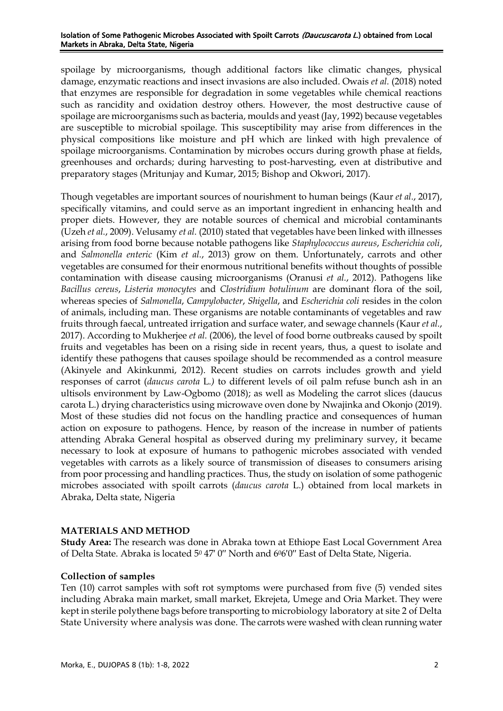#### Isolation of Some Pathogenic Microbes Associated with Spoilt Carrots (Daucuscarota L.) obtained from Local Markets in Abraka, Delta State, Nigeria

spoilage by microorganisms, though additional factors like climatic changes, physical damage, enzymatic reactions and insect invasions are also included. Owais *et al.* (2018) noted that enzymes are responsible for degradation in some vegetables while chemical reactions such as rancidity and oxidation destroy others. However, the most destructive cause of spoilage are microorganisms such as bacteria, moulds and yeast (Jay, 1992) because vegetables are susceptible to microbial spoilage. This susceptibility may arise from differences in the physical compositions like moisture and pH which are linked with high prevalence of spoilage microorganisms. Contamination by microbes occurs during growth phase at fields, greenhouses and orchards; during harvesting to post-harvesting, even at distributive and preparatory stages (Mritunjay and Kumar, 2015; Bishop and Okwori, 2017).

Though vegetables are important sources of nourishment to human beings (Kaur *et al.*, 2017), specifically vitamins, and could serve as an important ingredient in enhancing health and proper diets. However, they are notable sources of chemical and microbial contaminants (Uzeh *et al.*, 2009). Velusamy *et al.* (2010) stated that vegetables have been linked with illnesses arising from food borne because notable pathogens like *Staphylococcus aureus*, *Escherichia coli*, and *Salmonella enteric* (Kim *et al.*, 2013) grow on them. Unfortunately, carrots and other vegetables are consumed for their enormous nutritional benefits without thoughts of possible contamination with disease causing microorganisms (Oranusi *et al.*, 2012). Pathogens like *Bacillus cereus*, *Listeria monocytes* and *Clostridium botulinum* are dominant flora of the soil, whereas species of *Salmonella*, *Campylobacter*, *Shigella*, and *Escherichia coli* resides in the colon of animals, including man. These organisms are notable contaminants of vegetables and raw fruits through faecal, untreated irrigation and surface water, and sewage channels (Kaur *et al.*, 2017). According to Mukherjee *et al.* (2006), the level of food borne outbreaks caused by spoilt fruits and vegetables has been on a rising side in recent years, thus, a quest to isolate and identify these pathogens that causes spoilage should be recommended as a control measure (Akinyele and Akinkunmi, 2012). Recent studies on carrots includes growth and yield responses of carrot (*daucus carota* L*.)* to different levels of oil palm refuse bunch ash in an ultisols environment by Law-Ogbomo (2018); as well as Modeling the carrot slices (daucus carota L.) drying characteristics using microwave oven done by Nwajinka and Okonjo (2019). Most of these studies did not focus on the handling practice and consequences of human action on exposure to pathogens. Hence, by reason of the increase in number of patients attending Abraka General hospital as observed during my preliminary survey, it became necessary to look at exposure of humans to pathogenic microbes associated with vended vegetables with carrots as a likely source of transmission of diseases to consumers arising from poor processing and handling practices. Thus, the study on isolation of some pathogenic microbes associated with spoilt carrots (*daucus carota* L.) obtained from local markets in Abraka, Delta state, Nigeria

# **MATERIALS AND METHOD**

**Study Area:** The research was done in Abraka town at Ethiope East Local Government Area of Delta State. Abraka is located 5<sup>0</sup> 47' 0" North and 6<sup>0</sup>6'0" East of Delta State, Nigeria.

# **Collection of samples**

Ten (10) carrot samples with soft rot symptoms were purchased from five (5) vended sites including Abraka main market, small market, Ekrejeta, Umege and Oria Market. They were kept in sterile polythene bags before transporting to microbiology laboratory at site 2 of Delta State University where analysis was done. The carrots were washed with clean running water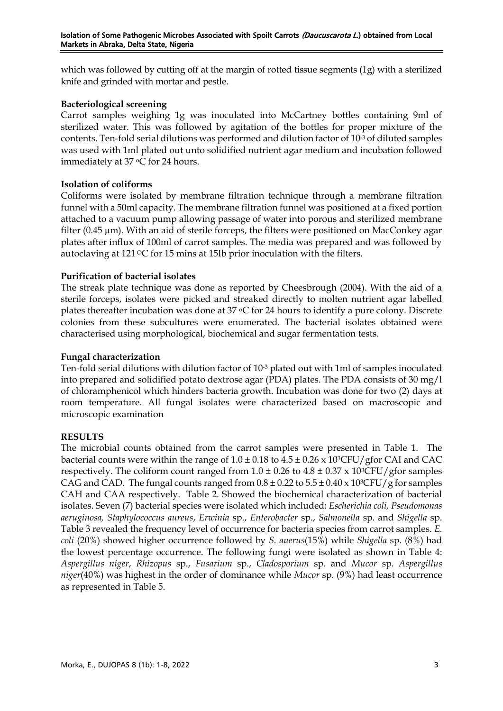which was followed by cutting off at the margin of rotted tissue segments (1g) with a sterilized knife and grinded with mortar and pestle.

# **Bacteriological screening**

Carrot samples weighing 1g was inoculated into McCartney bottles containing 9ml of sterilized water. This was followed by agitation of the bottles for proper mixture of the contents. Ten-fold serial dilutions was performed and dilution factor of 10-3 of diluted samples was used with 1ml plated out unto solidified nutrient agar medium and incubation followed immediately at 37 °C for 24 hours.

# **Isolation of coliforms**

Coliforms were isolated by membrane filtration technique through a membrane filtration funnel with a 50ml capacity. The membrane filtration funnel was positioned at a fixed portion attached to a vacuum pump allowing passage of water into porous and sterilized membrane filter (0.45 µm). With an aid of sterile forceps, the filters were positioned on MacConkey agar plates after influx of 100ml of carrot samples. The media was prepared and was followed by autoclaving at  $121 \,^{\circ}\text{C}$  for 15 mins at 15Ib prior inoculation with the filters.

# **Purification of bacterial isolates**

The streak plate technique was done as reported by Cheesbrough (2004). With the aid of a sterile forceps, isolates were picked and streaked directly to molten nutrient agar labelled plates thereafter incubation was done at  $37 \text{ °C}$  for 24 hours to identify a pure colony. Discrete colonies from these subcultures were enumerated. The bacterial isolates obtained were characterised using morphological, biochemical and sugar fermentation tests.

# **Fungal characterization**

Ten-fold serial dilutions with dilution factor of 10-3 plated out with 1ml of samples inoculated into prepared and solidified potato dextrose agar (PDA) plates. The PDA consists of 30 mg/l of chloramphenicol which hinders bacteria growth. Incubation was done for two (2) days at room temperature. All fungal isolates were characterized based on macroscopic and microscopic examination

# **RESULTS**

The microbial counts obtained from the carrot samples were presented in Table 1. The bacterial counts were within the range of  $1.0 \pm 0.18$  to  $4.5 \pm 0.26 \times 10^{3}$ CFU/gfor CAI and CAC respectively. The coliform count ranged from  $1.0 \pm 0.26$  to  $4.8 \pm 0.37$  x  $10\sqrt[3]{\text{CFU}}$  gfor samples CAG and CAD. The fungal counts ranged from  $0.8 \pm 0.22$  to  $5.5 \pm 0.40 \times 10^{3}$ CFU/g for samples CAH and CAA respectively. Table 2. Showed the biochemical characterization of bacterial isolates. Seven (7) bacterial species were isolated which included: *Escherichia coli, Pseudomonas aeruginosa, Staphylococcus aureus*, *Erwinia* sp., *Enterobacter* sp., *Salmonella* sp*.* and *Shigella* sp. Table 3 revealed the frequency level of occurrence for bacteria species from carrot samples. *E. coli* (20%) showed higher occurrence followed by *S. auerus*(15%) while *Shigella* sp. (8%) had the lowest percentage occurrence. The following fungi were isolated as shown in Table 4: *Aspergillus niger*, *Rhizopus* sp., *Fusarium* sp., *Cladosporium* sp. and *Mucor* sp. *Aspergillus niger*(40%) was highest in the order of dominance while *Mucor* sp. (9%) had least occurrence as represented in Table 5.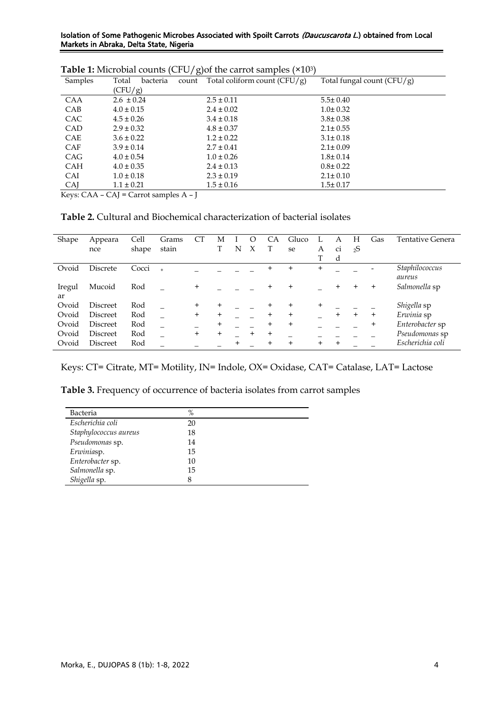#### Isolation of Some Pathogenic Microbes Associated with Spoilt Carrots (Daucuscarota L.) obtained from Local Markets in Abraka, Delta State, Nigeria

| <b>Lable 1.</b> MICTODIAL COULITS (CFO) gjor the call of samples ( $\sim$ 10°) |                                               |                                      |                              |  |  |  |
|--------------------------------------------------------------------------------|-----------------------------------------------|--------------------------------------|------------------------------|--|--|--|
| Samples                                                                        | bacteria<br>Total                             | count Total coliform count $(CFU/g)$ | Total fungal count $(CFU/g)$ |  |  |  |
|                                                                                | (CFU/g)                                       |                                      |                              |  |  |  |
| CAA                                                                            | $2.6 \pm 0.24$                                | $2.5 \pm 0.11$                       | $5.5 \pm 0.40$               |  |  |  |
| CAB                                                                            | $4.0 \pm 0.15$                                | $2.4 \pm 0.02$                       | $1.0 \pm 0.32$               |  |  |  |
| <b>CAC</b>                                                                     | $4.5 \pm 0.26$                                | $3.4 \pm 0.18$                       | $3.8 \pm 0.38$               |  |  |  |
| CAD                                                                            | $2.9 \pm 0.32$                                | $4.8 \pm 0.37$                       | $2.1 \pm 0.55$               |  |  |  |
| <b>CAE</b>                                                                     | $3.6 \pm 0.22$                                | $1.2 \pm 0.22$                       | $3.1 \pm 0.18$               |  |  |  |
| <b>CAF</b>                                                                     | $3.9 \pm 0.14$                                | $2.7 \pm 0.41$                       | $2.1 \pm 0.09$               |  |  |  |
| CAG                                                                            | $4.0 \pm 0.54$                                | $1.0 \pm 0.26$                       | $1.8 \pm 0.14$               |  |  |  |
| CAH                                                                            | $4.0 \pm 0.35$                                | $2.4 \pm 0.13$                       | $0.8 \pm 0.22$               |  |  |  |
| CAI                                                                            | $1.0 \pm 0.18$                                | $2.3 \pm 0.19$                       | $2.1 \pm 0.10$               |  |  |  |
| CAJ                                                                            | $1.1 \pm 0.21$                                | $1.5 \pm 0.16$                       | $1.5 \pm 0.17$               |  |  |  |
| $V_{\alpha}$ $\alpha$ $\alpha$ $\beta$ $\beta$                                 | $C\Lambda I =$ Comptes paralactes $\Lambda$ I |                                      |                              |  |  |  |

| <b>Table 1:</b> Microbial counts (CFU/g) of the carrot samples $(x10^3)$ |  |  |  |
|--------------------------------------------------------------------------|--|--|--|
|--------------------------------------------------------------------------|--|--|--|

Keys: CAA – CAJ = Carrot samples A – J

**Table 2.** Cultural and Biochemical characterization of bacterial isolates

| Shape  | Appeara         | Cell  | Grams | CT        | М         |        | O        | CA        | Gluco  |           | A         | Н         | Gas            | Tentative Genera |
|--------|-----------------|-------|-------|-----------|-----------|--------|----------|-----------|--------|-----------|-----------|-----------|----------------|------------------|
|        | nce             | shape | stain |           |           | N      | X        |           | se     | А         | ci        | 2S        |                |                  |
|        |                 |       |       |           |           |        |          |           |        |           | d         |           |                |                  |
| Ovoid  | Discrete        | Cocci | $+$   |           |           |        |          | $\div$    | $+$    | $\ddot{}$ |           |           | $\overline{a}$ | Staphilococcus   |
|        |                 |       |       |           |           |        |          |           |        |           |           |           |                | aureus           |
| Iregul | Mucoid          | Rod   |       | $\ddot{}$ |           |        |          | $\pm$     | $^{+}$ |           | $\ddot{}$ | $\pm$     | $\div$         | Salmonella sp    |
| ar     |                 |       |       |           |           |        |          |           |        |           |           |           |                |                  |
| Ovoid  | Discreet        | Rod   |       | $\ddot{}$ | $\ddot{}$ |        |          | $\pm$     | $^{+}$ | $^{+}$    |           |           |                | Shigella sp      |
| Ovoid  | <b>Discreet</b> | Rod   |       | $\ddot{}$ | $\ddot{}$ |        |          | $\ddot{}$ | $^{+}$ |           | $\ddot{}$ | $\ddot{}$ | $\ddot{}$      | Erwinia sp       |
| Ovoid  | Discreet        | Rod   |       |           | $\ddot{}$ |        |          | $\pm$     | $^{+}$ |           |           |           | $\ddot{}$      | Enterobacter sp  |
| Ovoid  | <b>Discreet</b> | Rod   |       | $\ddot{}$ | $\ddot{}$ |        | $\,{}^+$ | $^{+}$    |        |           |           |           |                | Pseudomonas sp   |
| Ovoid  | <b>Discreet</b> | Rod   |       |           |           | $\div$ |          | $\ddot{}$ | $+$    | $\ddot{}$ | $\ddot{}$ |           |                | Escherichia coli |

Keys: CT= Citrate, MT= Motility, IN= Indole, OX= Oxidase, CAT= Catalase, LAT= Lactose

**Table 3.** Frequency of occurrence of bacteria isolates from carrot samples

| Bacteria              | $\%$ |  |
|-----------------------|------|--|
| Escherichia coli      | 20   |  |
| Staphylococcus aureus | 18   |  |
| Pseudomonas sp.       | 14   |  |
| Erwiniasp.            | 15   |  |
| Enterobacter sp.      | 10   |  |
| Salmonella sp.        | 15   |  |
| Shigella sp.          | 8    |  |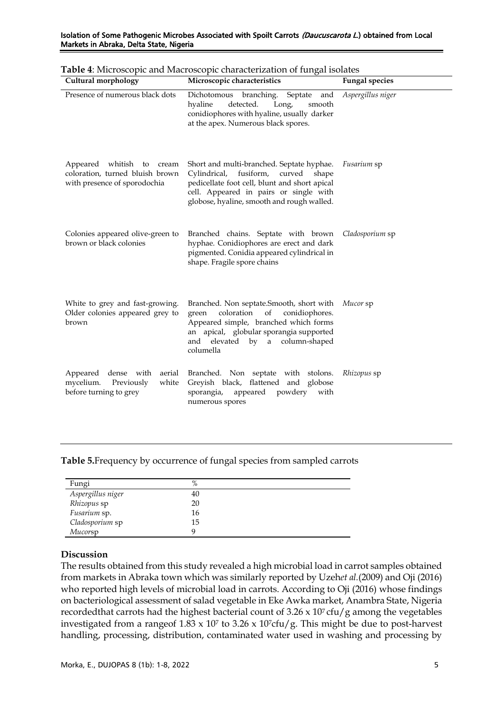| Cultural morphology                                                                          | Microscopic characteristics                                                                                                                                                                                               | <b>Fungal species</b> |  |
|----------------------------------------------------------------------------------------------|---------------------------------------------------------------------------------------------------------------------------------------------------------------------------------------------------------------------------|-----------------------|--|
| Presence of numerous black dots                                                              | Dichotomous branching. Septate<br>and<br>detected.<br>hyaline<br>Long,<br>smooth<br>conidiophores with hyaline, usually darker<br>at the apex. Numerous black spores.                                                     | Aspergillus niger     |  |
| Appeared whitish to cream<br>coloration, turned bluish brown<br>with presence of sporodochia | Short and multi-branched. Septate hyphae.<br>Cylindrical, fusiform, curved shape<br>pedicellate foot cell, blunt and short apical<br>cell. Appeared in pairs or single with<br>globose, hyaline, smooth and rough walled. | <i>Fusarium</i> sp    |  |
| Colonies appeared olive-green to<br>brown or black colonies                                  | Branched chains. Septate with brown<br>hyphae. Conidiophores are erect and dark<br>pigmented. Conidia appeared cylindrical in<br>shape. Fragile spore chains                                                              | Cladosporium sp       |  |
| White to grey and fast-growing.<br>Older colonies appeared grey to<br>brown                  | Branched. Non septate. Smooth, short with<br>coloration of<br>conidiophores.<br>green<br>Appeared simple, branched which forms<br>an apical, globular sporangia supported<br>and elevated by a column-shaped<br>columella | Mucor sp              |  |
| Appeared dense with<br>aerial<br>mycelium.<br>Previously<br>white<br>before turning to grey  | Branched. Non septate with stolons.<br>Greyish black, flattened and globose<br>sporangia,<br>appeared powdery with<br>numerous spores                                                                                     | Rhizopus sp           |  |

#### Isolation of Some Pathogenic Microbes Associated with Spoilt Carrots (Daucuscarota L.) obtained from Local Markets in Abraka, Delta State, Nigeria

**Table 5.**Frequency by occurrence of fungal species from sampled carrots

| Fungi             | $\%$ |  |
|-------------------|------|--|
| Aspergillus niger | 40   |  |
| Rhizopus sp       | 20   |  |
| Fusarium sp.      | 16   |  |
| Cladosporium sp   | 15   |  |
| Mucorsp           |      |  |

# **Discussion**

The results obtained from this study revealed a high microbial load in carrot samples obtained from markets in Abraka town which was similarly reported by Uzeh*et al.*(2009) and Oji (2016) who reported high levels of microbial load in carrots. According to Oji (2016) whose findings on bacteriological assessment of salad vegetable in Eke Awka market, Anambra State, Nigeria recordedthat carrots had the highest bacterial count of  $3.26 \times 10^7$  cfu/g among the vegetables investigated from a rangeof  $1.83 \times 10^7$  to  $3.26 \times 10^7$ cfu/g. This might be due to post-harvest handling, processing, distribution, contaminated water used in washing and processing by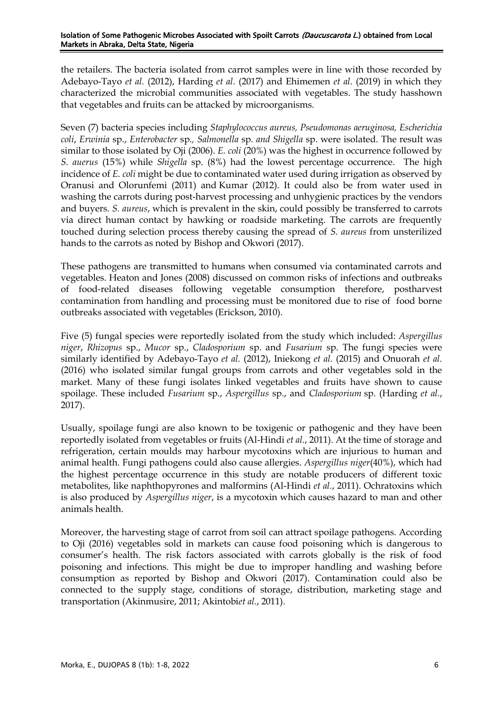the retailers. The bacteria isolated from carrot samples were in line with those recorded by Adebayo-Tayo *et al.* (2012), Harding *et al.* (2017) and Ehimemen *et al.* (2019) in which they characterized the microbial communities associated with vegetables. The study hasshown that vegetables and fruits can be attacked by microorganisms.

Seven (7) bacteria species including *Staphylococcus aureus, Pseudomonas aeruginosa, Escherichia coli*, *Erwinia* sp., *Enterobacter* sp*., Salmonella* sp*. and Shigella* sp. were isolated. The result was similar to those isolated by Oji (2006). *E. coli* (20%) was the highest in occurrence followed by *S. auerus* (15%) while *Shigella* sp. (8%) had the lowest percentage occurrence. The high incidence of *E. coli* might be due to contaminated water used during irrigation as observed by [Oranusi and Olorunfemi \(2011\)](https://scialert.net/fulltext/?doi=rjet.2015.59.70#1072085_ja) and [Kumar \(2012\)](https://scialert.net/fulltext/?doi=rjet.2015.59.70#1347033_ja). It could also be from water used in washing the carrots during post-harvest processing and unhygienic practices by the vendors and buyers. *S. aureus*, which is prevalent in the skin, could possibly be transferred to carrots via direct human contact by hawking or roadside marketing. The carrots are frequently touched during selection process thereby causing the spread of *S. aureus* from unsterilized hands to the carrots as noted by Bishop and Okwori (2017).

These pathogens are transmitted to humans when consumed via contaminated carrots and vegetables. Heaton and Jones (2008) discussed on common risks of infections and outbreaks of food-related diseases following vegetable consumption therefore, postharvest contamination from handling and processing must be monitored due to rise of food borne outbreaks associated with vegetables (Erickson, 2010).

Five (5) fungal species were reportedly isolated from the study which included: *Aspergillus niger*, *Rhizopus* sp., *Mucor* sp., *Cladosporium* sp. and *Fusarium* sp. The fungi species were similarly identified by Adebayo-Tayo *et al.* (2012), Iniekong *et al.* (2015) and Onuorah *et al.* (2016) who isolated similar fungal groups from carrots and other vegetables sold in the market. Many of these fungi isolates linked vegetables and fruits have shown to cause spoilage. These included *Fusarium* sp., *Aspergillus* sp., and *Cladosporium* sp. (Harding *et al.*, 2017).

Usually, spoilage fungi are also known to be toxigenic or pathogenic and they have been reportedly isolated from vegetables or fruits (Al-Hindi *et al.*, 2011). At the time of storage and refrigeration, certain moulds may harbour mycotoxins which are injurious to human and animal health. Fungi pathogens could also cause allergies. *Aspergillus niger*(40%), which had the highest percentage occurrence in this study are notable producers of different toxic metabolites, like naphthopyrones and malformins (Al-Hindi *et al.*, 2011). Ochratoxins which is also produced by *Aspergillus niger*, is a mycotoxin which causes hazard to man and other animals health.

Moreover, the harvesting stage of carrot from soil can attract spoilage pathogens. According to Oji (2016) vegetables sold in markets can cause food poisoning which is dangerous to consumer's health. The risk factors associated with carrots globally is the risk of food poisoning and infections. This might be due to improper handling and washing before consumption as reported by Bishop and Okwori (2017). Contamination could also be connected to the supply stage, conditions of storage, distribution, marketing stage and transportation (Akinmusire, 2011; Akintobi*et al.*, 2011).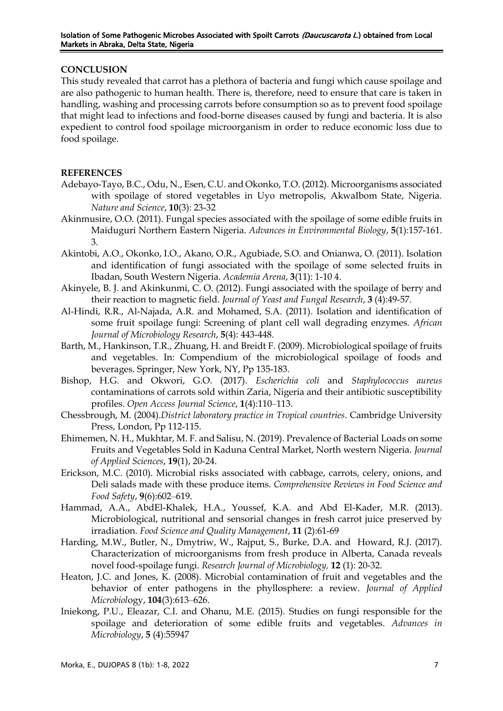## **CONCLUSION**

This study revealed that carrot has a plethora of bacteria and fungi which cause spoilage and are also pathogenic to human health. There is, therefore, need to ensure that care is taken in handling, washing and processing carrots before consumption so as to prevent food spoilage that might lead to infections and food-borne diseases caused by fungi and bacteria. It is also expedient to control food spoilage microorganism in order to reduce economic loss due to food spoilage.

## **REFERENCES**

- Adebayo-Tayo, B.C., Odu, N., Esen, C.U. and Okonko, T.O. (2012). Microorganisms associated with spoilage of stored vegetables in Uyo metropolis, AkwaIbom State, Nigeria. *Nature and Science*, **10**(3): 23-32
- Akinmusire, O.O. (2011). Fungal species associated with the spoilage of some edible fruits in Maiduguri Northern Eastern Nigeria. *Advances in Environmental Biology*, **5**(1):157-161. 3.
- Akintobi, A.O., Okonko, I.O., Akano, O.R., Agubiade, S.O. and Onianwa, O. (2011). Isolation and identification of fungi associated with the spoilage of some selected fruits in Ibadan, South Western Nigeria. *Academia Arena*, **3**(11): 1-10 4.
- Akinyele, B. J. and Akinkunmi, C. O. (2012). Fungi associated with the spoilage of berry and their reaction to magnetic field. *Journal of Yeast and Fungal Research*, **3** (4):49-57.
- Al-Hindi, R.R., Al-Najada, A.R. and Mohamed, S.A. (2011). Isolation and identification of some fruit spoilage fungi: Screening of plant cell wall degrading enzymes. *African Journal of Microbiology Research*, **5**(4): 443-448.
- Barth, M., Hankinson, T.R., Zhuang, H. and Breidt F. (2009). Microbiological spoilage of fruits and vegetables. In: Compendium of the microbiological spoilage of foods and beverages. Springer, New York, NY, Pp 135-183.
- Bishop, H.G. and Okwori, G.O. (2017). *Escherichia coli* and *Staphylococcus aureus* contaminations of carrots sold within Zaria, Nigeria and their antibiotic susceptibility profiles. *Open Access Journal Science*, **1**(4):110‒113.
- Chessbrough, M. (2004).*District laboratory practice in Tropical countries*. Cambridge University Press, London, Pp 112-115.
- Ehimemen, N. H., Mukhtar, M. F. and Salisu, N. (2019). Prevalence of Bacterial Loads on some Fruits and Vegetables Sold in Kaduna Central Market, North western Nigeria. *Journal of Applied Sciences*, **19**(1), 20-24.
- Erickson, M.C. (2010). Microbial risks associated with cabbage, carrots, celery, onions, and Deli salads made with these produce items. *Comprehensive Reviews in Food Science and Food Safety*, **9**(6):602‒619.
- Hammad, A.A., AbdEl-Khalek, H.A., Youssef, K.A. and Abd El-Kader, M.R. (2013). Microbiological, nutritional and sensorial changes in fresh carrot juice preserved by irradiation. *Food Science and Quality Management*, **11** (2):61-69
- Harding, M.W., Butler, N., Dmytriw, W., Rajput, S., Burke, D.A. and Howard, R.J. (2017). Characterization of microorganisms from fresh produce in Alberta, Canada reveals novel food-spoilage fungi. *Research Journal of Microbiology,* **12** (1): 20-32.
- Heaton, J.C. and Jones, K. (2008). Microbial contamination of fruit and vegetables and the behavior of enter pathogens in the phyllosphere: a review. *Journal of Applied Microbiol*ogy, **104**(3):613‒626.
- Iniekong, P.U., Eleazar, C.I. and Ohanu, M.E. (2015). Studies on fungi responsible for the spoilage and deterioration of some edible fruits and vegetables. *Advances in Microbiology*, **5** (4):55947